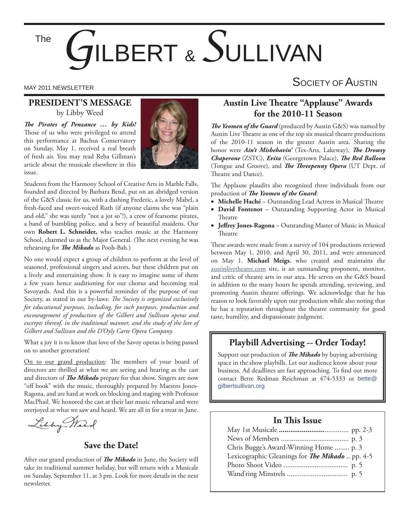The

# *G*ILBERT & *S*ULLIVAN

### MAY 2011 NEWSLETTER SOCIETY OF AUSTIN

#### **PRESIDENT'S MESSAGE** by Libby Weed

*The Pirates of Penzance ... by Kids!* Those of us who were privileged to attend this performance at Bachus Conservatory on Sunday, May 1, received a real breath of fresh air. You may read Reba Gillman's article about the musicale elsewhere in this issue.



Students from the Harmony School of Creative Arts in Marble Falls, founded and directed by Barbara Bend, put on an abridged version of the G&S classic for us, with a dashing Frederic, a lovely Mabel, a fresh-faced and sweet-voiced Ruth (if anyone claims she was "plain and old," she was surely "not a jot so"!), a crew of fearsome pirates, a band of bumbling police, and a bevy of beautiful maidens. Our own **Robert L. Schneider,** who teaches music at the Harmony School, charmed us as the Major General. (The next evening he was rehearsing for *The Mikado* as Pooh-Bah.)

No one would expect a group of children to perform at the level of seasoned, professional singers and actors, but these children put on a lively and entertaining show. It is easy to imagine some of them a few years hence auditioning for our chorus and becoming real Savoyards. And this is a powerful reminder of the purpose of our Society, as stated in our by-laws: *The Society is organized exclusively for educational purposes, including, for such purposes, production and encouragement of production of the Gilbert and Sullivan operas and*  excerpts thereof, in the traditional manner, and the study of the lore of *Gilbert and Sullivan and the D'Oyly Carte Opera Company.*

What a joy it is to know that love of the Savoy operas is being passed on to another generation!

On to our grand production: The members of your board of directors are thrilled at what we are seeing and hearing as the cast and directors of *The Mikado* prepare for that show. Singers are now "off book" with the music, thoroughly prepared by Maestro Jones-Ragona, and are hard at work on blocking and staging with Professor MacPhail. We honored the cast at their last music rehearsal and were overjoyed at what we saw and heard. We are all in for a treat in June.

Libby Mark

#### **Save the Date!**

After our grand production of *The Mikado* in June, the Society will take its traditional summer holiday, but will return with a Musicale on Sunday, September 11, at 3 pm. Look for more details in the next newsletter.

#### **Austin Live Theatre "Applause" Awards for the 2010-11 Season**

**The Yeomen of the Guard** (produced by Austin G&S) was named by Austin Live Theatre as one of the top six musical theatre productions of the 2010-11 season in the greater Austin area. Sharing the honor were *Ain't Misbehavin'* (Tex-Arts, Lakeway), *The Drowsy Chaperone* (ZSTC), *Evita* (Georgetown Palace), *The Red Balloon* (Tongue and Groove), and *The Threepenny Opera* (UT Dept. of Theatre and Dance).

The Applause plaudits also recognized three individuals from our production of *The Yeomen of the Guard*:

- Michelle Haché Outstanding Lead Actress in Musical Theatre
- **David Fontenot** Outstanding Supporting Actor in Musical Theatre
- **Jeffrey Jones-Ragona** Outstanding Master of Music in Musical **Theatre**

These awards were made from a survey of 104 productions reviewed between May 1, 2010, and April 30, 2011, and were announced on May 1. **Michael Meigs**, who created and maintains the austinlivetheatre.com site, is an outstanding proponent, monitor, and critic of theatre arts in our area. He serves on the G&S board in addition to the many hours he spends attending, reviewing, and promoting Austin theatre offerings. We acknowledge that he has reason to look favorably upon our production while also noting that he has a reputation throughout the theatre community for good taste, humility, and dispassionate judgment.

#### **Playbill Advertising -- Order Today!**

Support our production of *The Mikado* by buying advertising space in the show playbills. Let our audience know about your business. Ad deadlines are fast approaching. To find out more contact Bette Redman Reichman at 474-5333 or bette@ gilbertsullivan.org

#### **In This Issue**

| Chris Bugge's Award-Winning Home  p. 3          |  |
|-------------------------------------------------|--|
| Lexicographic Gleanings for The Mikado  pp. 4-5 |  |
|                                                 |  |
|                                                 |  |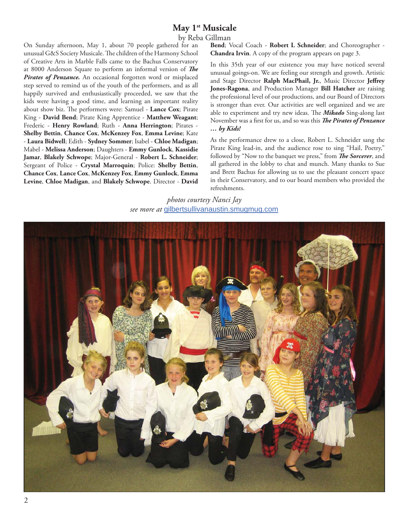#### May 1<sup>st</sup> Musicale

by Reba Gillman

On Sunday afternoon, May 1, about 70 people gathered for an unusual G&S Society Musicale. The children of the Harmony School of Creative Arts in Marble Falls came to the Bachus Conservatory at 8000 Anderson Square to perform an informal version of *The* Pirates of Penzance. An occasional forgotten word or misplaced step served to remind us of the youth of the performers, and as all happily survived and enthusiastically proceeded, we saw that the kids were having a good time, and learning an important reality about show biz. The performers were: Samuel - Lance Cox; Pirate King - **David Bend**; Pirate King Apprentice - **Matthew Weagant**; Frederic - **Henry Rowland**; Ruth - **Anna Herrington**; Pirates - **Shelby Bettin**, **Chance Cox**, **McKenzey Fox**, **Emma Levine**; Kate - **Laura Bidwell**; Edith - **Sydney Sommer**; Isabel - **Chloe Madigan**; Mabel - **Melissa Anderson**; Daughters - **Emmy Gunlock**, **Kassidie Jamar**, **Blakely Schwope**; Major-General - **Robert L. Schneider**; Sergeant of Police - **Crystal Marroquin**; Police: **Shelby Bettin**, **Chance Cox**, **Lance Cox**, **McKenzey Fox**, **Emmy Gunlock**, **Emma Levine**, **Chloe Madigan**, and **Blakely Schwope**. Director - **David** 

**Bend**; Vocal Coach - **Robert L Schneider**; and Choreographer - **Chandra Irvin**. A copy of the program appears on page 3.

In this 35th year of our existence you may have noticed several unusual goings-on. We are feeling our strength and growth. Artistic and Stage Director Ralph MacPhail, Jr., Music Director Jeffrey **Jones-Ragona**, and Production Manager **Bill Hatcher** are raising the professional level of our productions, and our Board of Directors is stronger than ever. Our activities are well organized and we are able to experiment and try new ideas. The **Mikado** Sing-along last November was a first for us, and so was this *The Pirates of Penzance … by Kids!*

As the performance drew to a close, Robert L. Schneider sang the Pirate King lead-in, and the audience rose to sing "Hail, Poetry," followed by "Now to the banquet we press," from **The Sorcerer**, and all gathered in the lobby to chat and munch. Many thanks to Sue and Brett Bachus for allowing us to use the pleasant concert space in their Conservatory, and to our board members who provided the refreshments.

*photos courtesy Nanci Jay see more at* gilbertsullivanaustin.smugmug.com

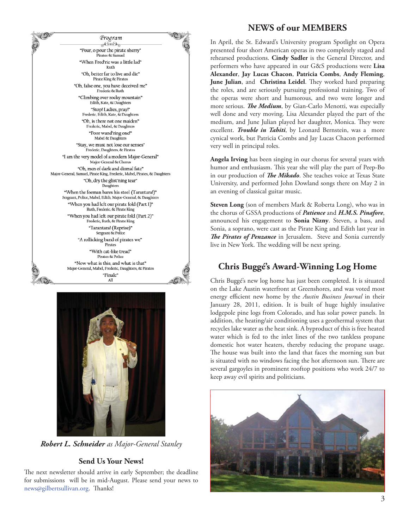



*Robert L. Schneider as Major-General Stanley*

#### **Send Us Your News!**

The next newsletter should arrive in early September; the deadline for submissions will be in mid-August. Please send your news to news@gilbertsullivan.org. Thanks!

#### **NEWS of our MEMBERS**

In April, the St. Edward's University program Spotlight on Opera presented four short American operas in two completely staged and rehearsed productions. **Cindy Sadler** is the General Director, and performers who have appeared in our G&S productions were **Lisa Alexander**, **Jay Lucas Chacon**, **Patricia Combs**, **Andy Fleming**, **June Julian**, and **Christina Leidel**. They worked hard preparing the roles, and are seriously pursuing professional training. Two of the operas were short and humorous, and two were longer and more serious. *The Medium*, by Gian-Carlo Menotti, was especially well done and very moving. Lisa Alexander played the part of the medium, and June Julian played her daughter, Monica. They were excellent. *Trouble in Tahiti*, by Leonard Bernstein, was a more cynical work, but Patricia Combs and Jay Lucas Chacon performed very well in principal roles.

**Angela Irving** has been singing in our chorus for several years with humor and enthusiasm. This year she will play the part of Peep-Bo in our production of *The Mikado*. She teaches voice at Texas State University, and performed John Dowland songs there on May 2 in an evening of classical guitar music.

**Steven Long** (son of members Mark & Roberta Long), who was in the chorus of GSSA productions of *Patience* and *H.M.S. Pinafore*, announced his engagement to **Sonia Nizny**. Steven, a bass, and Sonia, a soprano, were cast as the Pirate King and Edith last year in **The Pirates of Penzance** in Jerusalem. Steve and Sonia currently live in New York. The wedding will be next spring.

#### **Chris Buggé's Award-Winning Log Home**

Chris Buggé's new log home has just been completed. It is situated on the Lake Austin waterfront at Greenshores, and was voted most energy efficient new home by the *Austin Business Journal* in their January 28, 2011, edition. It is built of huge highly insulative lodgepole pine logs from Colorado, and has solar power panels. In addition, the heating/air conditioning uses a geothermal system that recycles lake water as the heat sink. A byproduct of this is free heated water which is fed to the inlet lines of the two tankless propane domestic hot water heaters, thereby reducing the propane usage. The house was built into the land that faces the morning sun but is situated with no windows facing the hot afternoon sun. There are several gargoyles in prominent rooftop positions who work 24/7 to keep away evil spirits and politicians.

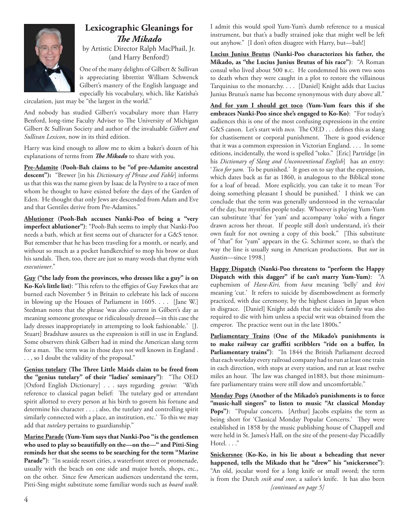

#### **Lexicographic Gleanings for The Mikado**

by Artistic Director Ralph MacPhail, Jr. (and Harry Benford!)

One of the many delights of Gilbert & Sullivan is appreciating librettist William Schwenck Gilbert's mastery of the English language and especially his vocabulary, which, like Katisha's

circulation, just may be "the largest in the world."

And nobody has studied Gilbert's vocabulary more than Harry Benford, long-time Faculty Adviser to The University of Michigan Gilbert & Sullivan Society and author of the invaluable *Gilbert and Sullivan Lexicon*, now in its third edition*.*

Harry was kind enough to allow me to skim a baker's dozen of his explanations of terms from *The Mikado* to share with you.

**Pre-Adamite** (**Pooh-Bah claims to be "of pre-Adamite ancestral descent"):** "Brewer [in his *Dictionary of Phrase and Fable*] informs us that this was the name given by Isaac de la Peyrère to a race of men whom he thought to have existed before the days of the Garden of Eden. He thought that only Jews are descended from Adam and Eve and that Gentiles derive from Pre-Adamites."

**Ablutioner (Pooh-Bah accuses Nanki-Poo of being a "very imperfect ablutioner")**: "Pooh-Bah seems to imply that Nanki-Poo needs a bath, which at first seems out of character for a G&S tenor. But remember that he has been traveling for a month, or nearly, and without so much as a pocket handkerchief to mop his brow or dust his sandals. Then, too, there are just so many words that rhyme with *executioner*."

**Guy ("the lady from the provinces, who dresses like a guy" is on**  Ko-Ko's little list): "This refers to the effigies of Guy Fawkes that are burned each November 5 in Britain to celebrate his lack of success in blowing up the Houses of Parliament in 1605. . . . [Jane W.] Stedman notes that the phrase 'was also current in Gilbert's day as meaning someone grotesque or ridiculously dressed—in this case the lady dresses inappropriately in attempting to look fashionable.' [J. Stuart] Bradshaw assures us the expression is still in use in England. Some observers think Gilbert had in mind the American slang term for a man. The term was in those days not well known in England. . . , so I doubt the validity of the proposal."

**Genius tutelary (The Three Little Maids claim to be freed from** the "genius tutelary" of their "ladies' seminary"): "The OED [Oxford English Dictionary] . . . says regarding *genius*: 'With reference to classical pagan belief: The tutelary god or attendant spirit allotted to every person at his birth to govern his fortune and determine his character . . . ; also, the tutelary and controlling spirit similarly connected with a place, an institution, etc.' To this we may add that *tutelary* pertains to guardianship."

**Marine Parade (Yum-Yum says that Nanki-Poo "is the gentlemen who used to play so beautifully on the—on the—" and Pitti-Sing reminds her that she seems to be searching for the term "Marine**  Parade"): "In seaside resort cities, a waterfront street or promenade, usually with the beach on one side and major hotels, shops, etc., on the other. Since few American audiences understand the term, Pitti-Sing might substitute some familiar words such as *board walk.* 

I admit this would spoil Yum-Yum's dumb reference to a musical instrument, but that's a badly strained joke that might well be left out anyhow." [I don't often disagree with Harry, but—bah!]

**Lucius Junius Brutus (Nanki-Poo characterizes his father, the Mikado, as "the Lucius Junius Brutus of his race")**: "A Roman consul who lived about 500 b.c. He condemned his own two sons to death when they were caught in a plot to restore the villainous Tarquinius to the monarchy. . . . [Daniel] Knight adds that Lucius Junius Brutus's name has become synonymous with duty above all."

**And for yam I should get toco (Yum-Yum fears this if she embraces Nanki-Poo since she's engaged to Ko-Ko)**: "For today's audiences this is one of the most confusing expressions in the entire G&S canon. Let's start with *toco*. The OED . . . defines this as slang for chastisement or corporal punishment. There is good evidence that it was a common expression in Victorian England. . . . In some editions, incidentally, the word is spelled "toko." [Eric] Partridge [in his *Dictionary of Slang and Unconventional English*] has an entry: '*Toco for yam*. To be punished.' It goes on to say that the expression, which dates back as far as 1860, is analogous to the Biblical stone for a loaf of bread. More explicitly, you can take it to mean 'For doing something pleasant I should be punished.' I think we can conclude that the term was generally understood in the vernacular of the day, but mystifies people today. Whoever is playing Yum-Yum can substitute 'that' for 'yam' and accompany 'toko' with a finger drawn across her throat. If people still don't understand, it's their own fault for not owning a copy of this book." [This substitute of "that" for "yam" appears in the G. Schirmer score, so that's the way the line is usually sung in American productions. But *not* in Austin—since 1998.]

**Happy Dispatch (Nanki-Poo threatens to "perform the Happy Dispatch with this dagger" if he can't marry Yum-Yum)**: "A euphemism of *Hara-Kiri,* from *hara* meaning 'belly' and *kiri* meaning 'cut.' It refers to suicide by disembowelment as formerly practiced, with due ceremony, by the highest classes in Japan when in disgrace. [Daniel] Knight adds that the suicide's family was also required to die with him unless a special writ was obtained from the emperor. The practice went out in the late 1800s."

**Parliamentary Trains (One of the Mikado's punishments is**  to make railway car graffiti scribblers "ride on a buffer, In Parliamentary trains"): "In 1844 the British Parliament decreed that each workday every railroad company had to run at least one train in each direction, with stops at every station, and run at least twelve miles an hour. The law was changed in1883, but those minimumfare parliamentary trains were still slow and uncomfortable."

**Monday Pops (Another of the Mikado's punishments is to force "music-hall singers" to listen to music "At classical Monday**  Pops"): "Popular concerts. [Arthur] Jacobs explains the term as being short for 'Classical Monday Popular Concerts.' They were established in 1858 by the music publishing house of Chappell and were held in St. James's Hall, on the site of the present-day Piccadilly Hotel. . . ."

**Snickersnee (Ko-Ko, in his lie about a beheading that never happened, tells the Mikado that he "drew" his "snickersnee")**: "An old, jocular word for a long knife or small sword; the term is from the Dutch *snik and snee*, a sailor's knife. It has also been *[continued on page 5]*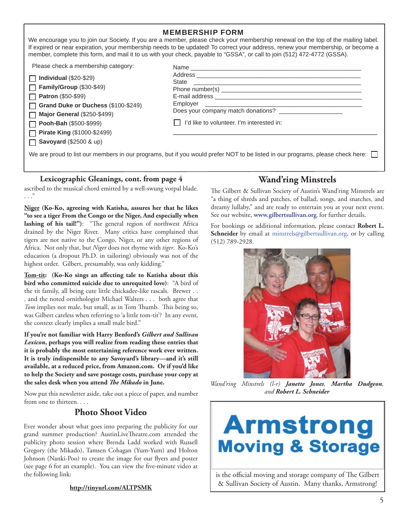| <b>MEMBERSHIP FORM</b><br>We encourage you to join our Society. If you are a member, please check your membership renewal on the top of the mailing label.<br>If expired or near expiration, your membership needs to be updated! To correct your address, renew your membership, or become a<br>member, complete this form, and mail it to us with your check, payable to "GSSA", or call to join (512) 472-4772 (GSSA). |                                                                                 |  |
|---------------------------------------------------------------------------------------------------------------------------------------------------------------------------------------------------------------------------------------------------------------------------------------------------------------------------------------------------------------------------------------------------------------------------|---------------------------------------------------------------------------------|--|
| Please check a membership category:<br>$\Box$ Individual (\$20-\$29)<br>$\Box$ Family/Group (\$30-\$49)<br>$\Box$ Patron (\$50-\$99)<br>Grand Duke or Duchess (\$100-\$249)<br><b>Major General (\$250-\$499)</b><br>$\Box$ Pooh-Bah (\$500-\$999)<br>Pirate King (\$1000-\$2499)<br>$\Box$ Savoyard (\$2500 & up)                                                                                                        | Does your company match donations?<br>I'd like to volunteer. I'm interested in: |  |
| We are proud to list our members in our programs, but if you would prefer NOT to be listed in our programs, please check here:                                                                                                                                                                                                                                                                                            |                                                                                 |  |

#### **Lexicographic Gleanings, cont. from page 4**

ascribed to the musical chord emitted by a well-swung vorpal blade. . . ."

**Niger (Ko-Ko, agreeing with Katisha, assures her that he likes "to see a tiger From the Congo or the Niger, And especially when**  lashing of his tail!"): "The general region of northwest Africa drained by the Niger River. Many critics have complained that tigers are not native to the Congo, Niger, or any other regions of Africa. Not only that, but *Niger* does not rhyme with *tiger*. Ko-Ko's education (a dropout Ph.D. in tailoring) obviously was not of the highest order. Gilbert, presumably, was only kidding."

Tom-tit: (Ko-Ko sings an affecting tale to Katisha about this **bird who committed suicide due to unrequited love)**: "A bird of the tit family, all being cute little chickadee-like rascals. Brewer . . . and the noted ornithologist Michael Walters . . . both agree that *Tom* implies not male, but small, as in Tom Thumb. This being so, was Gilbert careless when referring to 'a little tom-tit'? In any event, the context clearly implies a small male bird."

**If you're not familiar with Harry Benford's** *Gilbert and Sullivan Lexicon***, perhaps you will realize from reading these entries that it is probably the most entertaining reference work ever written. It is truly indispensible to any Savoyard's library—and it's still available, at a reduced price, from Amazon.com. Or if you'd like to help the Society and save postage costs, purchase your copy at**  the sales desk when you attend *The Mikado* in June.

Now put this newsletter aside, take out a piece of paper, and number from one to thirteen. . . .

#### **Photo Shoot Video**

Ever wonder about what goes into preparing the publicity for our grand summer production? AustinLiveTheatre.com attended the publicity photo session where Brenda Ladd worked with Russell Gregory (the Mikado), Tamsen Cohagan (Yum-Yum) and Holton Johnson (Nanki-Poo) to create the image for our flyers and poster (see page 6 for an example). You can view the five-minute video at the following link:

#### **http://tinyurl.com/ALTPSMK**

#### **Wand'ring Minstrels**

The Gilbert & Sullivan Society of Austin's Wand'ring Minstrels are "a thing of shreds and patches, of ballad, songs, and snatches, and dreamy lullaby," and are ready to entertain you at your next event. See our website, **www.gilbertsullivan.org**, for further details.

For bookings or additional information, please contact **Robert L. Schneider** by email at minstrels@gilbertsullivan.org, or by calling (512) 789-2928.



*Wand'ring Minstrels (l-r) Janette Jones, Martha Dudgeon, and Robert L. Schneider*

## **Armstrong Moving & Storage**

is the official moving and storage company of The Gilbert & Sullivan Society of Austin. Many thanks, Armstrong!